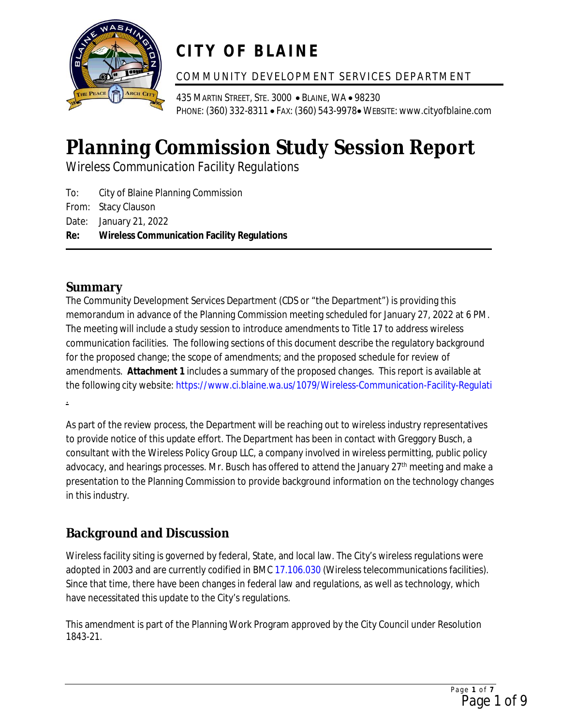

# **CITY OF BLAINE**

#### COMMUNITY DEVELOPMENT SERVICES DEPARTMENT

435 MARTIN STREET, STE. 3000 · BLAINE, WA · 98230 PHONE: (360) 332-8311 • FAX: (360) 543-9978• WEBSITE: www.cityofblaine.com

# **Planning Commission Study Session Report**

*Wireless Communication Facility Regulations*

To: City of Blaine Planning Commission From: Stacy Clauson Date: January 21, 2022 **Re: Wireless Communication Facility Regulations**

### **Summary**

The Community Development Services Department (CDS or "the Department") is providing this memorandum in advance of the Planning Commission meeting scheduled for January 27, 2022 at 6 PM. The meeting will include a study session to introduce amendments to Title 17 to address wireless communication facilities. The following sections of this document describe the regulatory background for the proposed change; the scope of amendments; and the proposed schedule for review of amendments. **Attachment 1** includes a summary of the proposed changes. This report is available at the following city website: <https://www.ci.blaine.wa.us/1079/Wireless-Communication-Facility-Regulati> .

As part of the review process, the Department will be reaching out to wireless industry representatives to provide notice of this update effort. The Department has been in contact with Greggory Busch, a consultant with the Wireless Policy Group LLC, a company involved in wireless permitting, public policy advocacy, and hearings processes. Mr. Busch has offered to attend the January 27<sup>th</sup> meeting and make a presentation to the Planning Commission to provide background information on the technology changes in this industry.

## **Background and Discussion**

Wireless facility siting is governed by federal, State, and local law. The City's wireless regulations were adopted in 2003 and are currently codified in BMC [17.106.030](https://www.codepublishing.com/WA/Blaine/#!/Blaine17/Blaine17106.html) (Wireless telecommunications facilities). Since that time, there have been changes in federal law and regulations, as well as technology, which have necessitated this update to the City's regulations.

This amendment is part of the Planning Work Program approved by the City Council under Resolution 1843-21.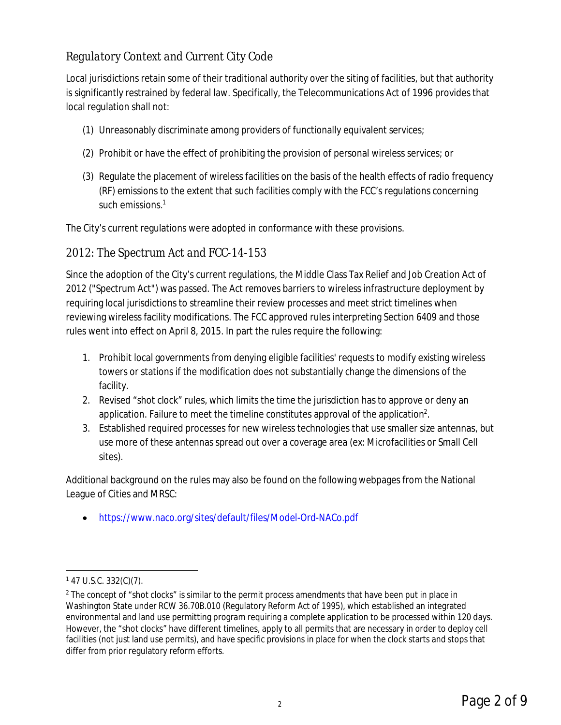#### *Regulatory Context and Current City Code*

Local jurisdictions retain some of their traditional authority over the siting of facilities, but that authority is significantly restrained by federal law. Specifically, the Telecommunications Act of 1996 provides that local regulation shall not:

- (1) Unreasonably discriminate among providers of functionally equivalent services;
- (2) Prohibit or have the effect of prohibiting the provision of personal wireless services; or
- (3) Regulate the placement of wireless facilities on the basis of the health effects of radio frequency (RF) emissions to the extent that such facilities comply with the FCC's regulations concerning such emissions.<sup>1</sup>

The City's current regulations were adopted in conformance with these provisions.

#### *2012: The Spectrum Act and FCC-14-153*

Since the adoption of the City's current regulations, the Middle Class Tax Relief and Job Creation Act of 2012 ("Spectrum Act") was passed. The Act removes barriers to wireless infrastructure deployment by requiring local jurisdictions to streamline their review processes and meet strict timelines when reviewing wireless facility modifications. The FCC approved rules interpreting Section 6409 and those rules went into effect on April 8, 2015. In part the rules require the following:

- 1. Prohibit local governments from denying eligible facilities' requests to modify existing wireless towers or stations if the modification does not substantially change the dimensions of the facility.
- 2. Revised "shot clock" rules, which limits the time the jurisdiction has to approve or deny an application. Failure to meet the timeline constitutes approval of the application<sup>2</sup>.
- 3. Established required processes for new wireless technologies that use smaller size antennas, but use more of these antennas spread out over a coverage area (ex: Microfacilities or Small Cell sites).

Additional background on the rules may also be found on the following webpages from the National League of Cities and MRSC:

· <https://www.naco.org/sites/default/files/Model-Ord-NACo.pdf>

 $147$  U.S.C. 332(C)(7).

<sup>&</sup>lt;sup>2</sup> The concept of "shot clocks" is similar to the permit process amendments that have been put in place in Washington State under RCW 36.70B.010 (Regulatory Reform Act of 1995), which established an integrated environmental and land use permitting program requiring a complete application to be processed within 120 days. However, the "shot clocks" have different timelines, apply to all permits that are necessary in order to deploy cell facilities (not just land use permits), and have specific provisions in place for when the clock starts and stops that differ from prior regulatory reform efforts.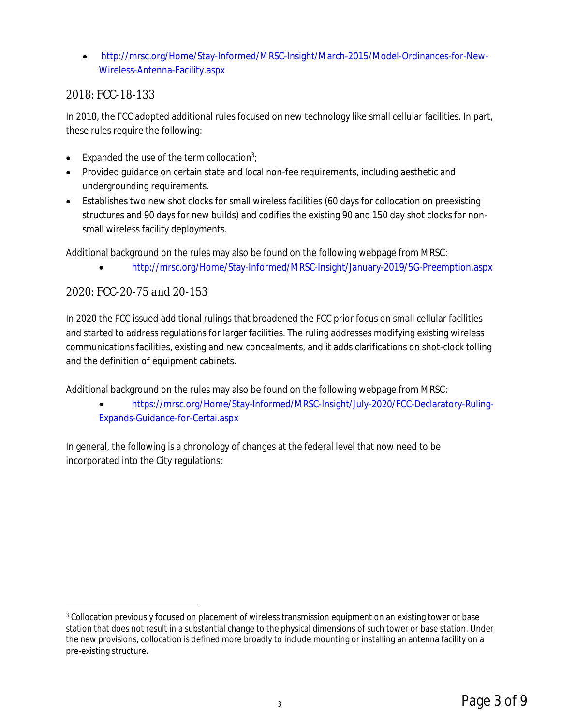· [http://mrsc.org/Home/Stay-Informed/MRSC-Insight/March-2015/Model-Ordinances-for-New-](http://mrsc.org/Home/Stay-Informed/MRSC-Insight/March-2015/Model-Ordinances-for-New-Wireless-Antenna-Facility.aspx)[Wireless-Antenna-Facility.aspx](http://mrsc.org/Home/Stay-Informed/MRSC-Insight/March-2015/Model-Ordinances-for-New-Wireless-Antenna-Facility.aspx)

#### *2018: FCC-18-133*

In 2018, the FCC adopted additional rules focused on new technology like small cellular facilities. In part, these rules require the following:

- Expanded the use of the term collocation<sup>3</sup>;
- · Provided guidance on certain state and local non-fee requirements, including aesthetic and undergrounding requirements.
- · Establishes two new shot clocks for small wireless facilities (60 days for collocation on preexisting structures and 90 days for new builds) and codifies the existing 90 and 150 day shot clocks for nonsmall wireless facility deployments.

Additional background on the rules may also be found on the following webpage from MRSC:

· <http://mrsc.org/Home/Stay-Informed/MRSC-Insight/January-2019/5G-Preemption.aspx>

#### *2020: FCC-20-75 and 20-153*

In 2020 the FCC issued additional rulings that broadened the FCC prior focus on small cellular facilities and started to address regulations for larger facilities. The ruling addresses modifying existing wireless communications facilities, existing and new concealments, and it adds clarifications on shot-clock tolling and the definition of equipment cabinets.

Additional background on the rules may also be found on the following webpage from MRSC:

· [https://mrsc.org/Home/Stay-Informed/MRSC-Insight/July-2020/FCC-Declaratory-Ruling-](https://mrsc.org/Home/Stay-Informed/MRSC-Insight/July-2020/FCC-Declaratory-Ruling-Expands-Guidance-for-Certai.aspx)[Expands-Guidance-for-Certai.aspx](https://mrsc.org/Home/Stay-Informed/MRSC-Insight/July-2020/FCC-Declaratory-Ruling-Expands-Guidance-for-Certai.aspx)

In general, the following is a chronology of changes at the federal level that now need to be incorporated into the City regulations:

<sup>&</sup>lt;sup>3</sup> Collocation previously focused on placement of wireless transmission equipment on an existing tower or base station that does not result in a substantial change to the physical dimensions of such tower or base station. Under the new provisions, collocation is defined more broadly to include mounting or installing an antenna facility on a pre-existing structure.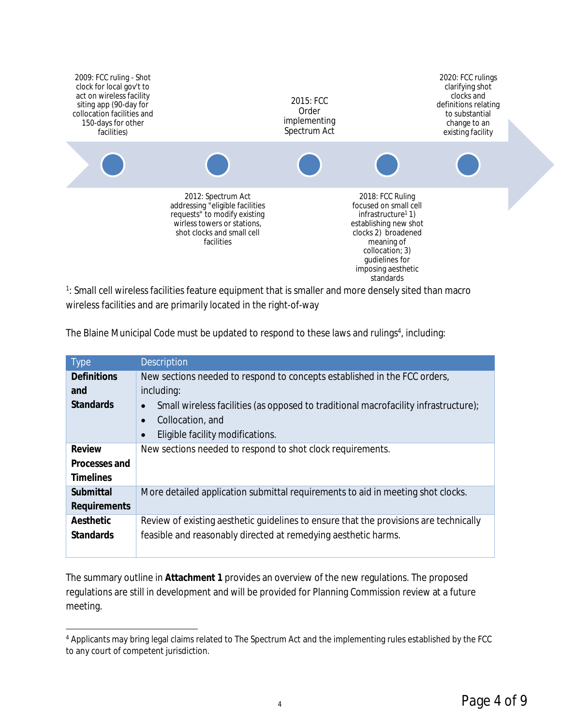

<sup>1</sup>: Small cell wireless facilities feature equipment that is smaller and more densely sited than macro wireless facilities and are primarily located in the right-of-way

| <b>Type</b>        | <b>Description</b>                                                                               |
|--------------------|--------------------------------------------------------------------------------------------------|
| <b>Definitions</b> | New sections needed to respond to concepts established in the FCC orders,                        |
| and                | including:                                                                                       |
| Standards          | Small wireless facilities (as opposed to traditional macrofacility infrastructure);<br>$\bullet$ |
|                    | Collocation, and<br>$\bullet$                                                                    |
|                    | Eligible facility modifications.                                                                 |
| Review             | New sections needed to respond to shot clock requirements.                                       |
| Processes and      |                                                                                                  |
| <b>Timelines</b>   |                                                                                                  |
| Submittal          | More detailed application submittal requirements to aid in meeting shot clocks.                  |
| Requirements       |                                                                                                  |
| Aesthetic          | Review of existing aesthetic guidelines to ensure that the provisions are technically            |
| <b>Standards</b>   | feasible and reasonably directed at remedying aesthetic harms.                                   |
|                    |                                                                                                  |

The Blaine Municipal Code must be updated to respond to these laws and rulings<sup>4</sup>, including:

The summary outline in **Attachment 1** provides an overview of the new regulations. The proposed regulations are still in development and will be provided for Planning Commission review at a future meeting.

<sup>&</sup>lt;sup>4</sup> Applicants may bring legal claims related to The Spectrum Act and the implementing rules established by the FCC to any court of competent jurisdiction.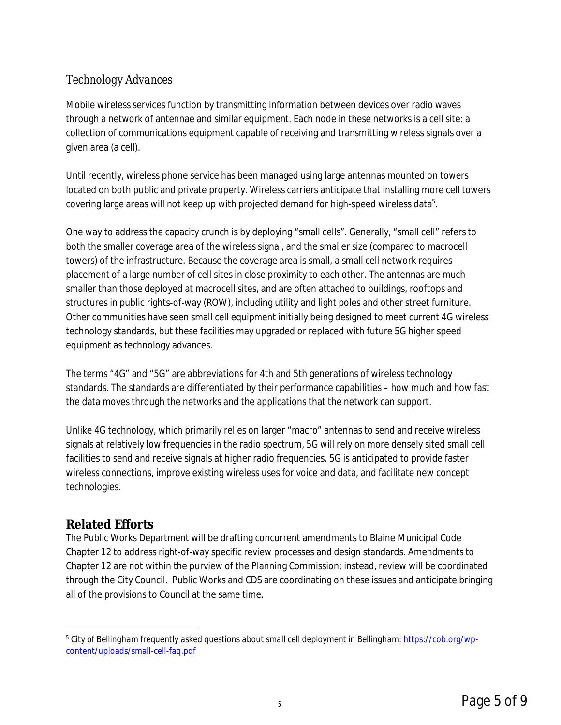#### *Technology Advances*

Mobile wireless services function by transmitting information between devices over radio waves through a network of antennae and similar equipment. Each node in these networks is a cell site: a collection of communications equipment capable of receiving and transmitting wireless signals over a given area (a cell).

Until recently, wireless phone service has been managed using large antennas mounted on towers located on both public and private property. Wireless carriers anticipate that installing more cell towers covering large areas will not keep up with projected demand for high-speed wireless data $^5\!$ 

One way to address the capacity crunch is by deploying "small cells". Generally, "small cell" refers to both the smaller coverage area of the wireless signal, and the smaller size (compared to macrocell towers) of the infrastructure. Because the coverage area is small, a small cell network requires placement of a large number of cell sites in close proximity to each other. The antennas are much smaller than those deployed at macrocell sites, and are often attached to buildings, rooftops and structures in public rights-of-way (ROW), including utility and light poles and other street furniture. Other communities have seen small cell equipment initially being designed to meet current 4G wireless technology standards, but these facilities may upgraded or replaced with future 5G higher speed equipment as technology advances.

The terms "4G" and "5G" are abbreviations for 4th and 5th generations of wireless technology standards. The standards are differentiated by their performance capabilities – how much and how fast the data moves through the networks and the applications that the network can support.

Unlike 4G technology, which primarily relies on larger "macro" antennas to send and receive wireless signals at relatively low frequencies in the radio spectrum, 5G will rely on more densely sited small cell facilities to send and receive signals at higher radio frequencies. 5G is anticipated to provide faster wireless connections, improve existing wireless uses for voice and data, and facilitate new concept technologies.

#### **Related Efforts**

The Public Works Department will be drafting concurrent amendments to Blaine Municipal Code Chapter 12 to address right-of-way specific review processes and design standards. Amendments to Chapter 12 are not within the purview of the Planning Commission; instead, review will be coordinated through the City Council. Public Works and CDS are coordinating on these issues and anticipate bringing all of the provisions to Council at the same time.

<sup>5</sup> *City of Bellingham frequently asked questions about small cell deployment in Bellingham:* [https://cob.org/wp](https://cob.org/wp-content/uploads/small-cell-faq.pdf)[content/uploads/small-cell-faq.pdf](https://cob.org/wp-content/uploads/small-cell-faq.pdf)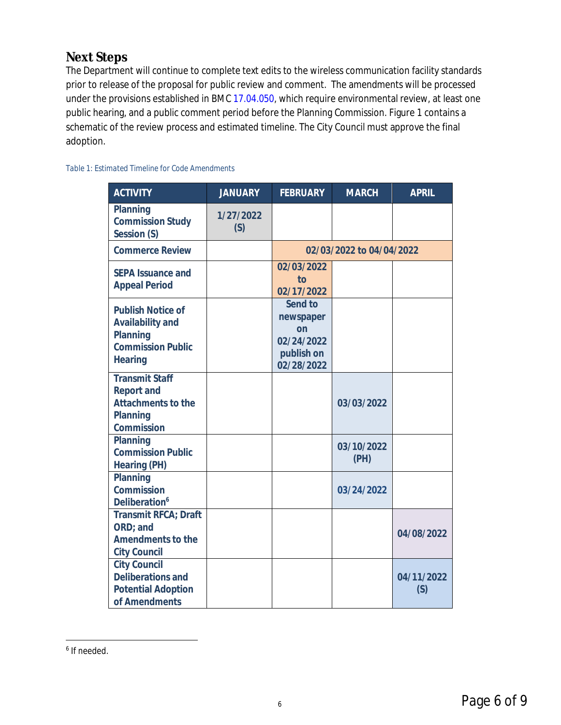#### **Next Steps**

The Department will continue to complete text edits to the wireless communication facility standards prior to release of the proposal for public review and comment. The amendments will be processed under the provisions established in BMC [17.04.050,](https://www.codepublishing.com/WA/Blaine/#!/Blaine17/Blaine1704.html) which require environmental review, at least one public hearing, and a public comment period before the Planning Commission. Figure 1 contains a schematic of the review process and estimated timeline. The City Council must approve the final adoption.

#### *Table 1: Estimated Timeline for Code Amendments*

| <b>ACTIVITY</b>                                                                                 | <b>JANUARY</b>   | <b>FEBRUARY</b>                                                      | <b>MARCH</b>       | <b>APRIL</b>      |
|-------------------------------------------------------------------------------------------------|------------------|----------------------------------------------------------------------|--------------------|-------------------|
| Planning<br><b>Commission Study</b><br>Session (S)                                              | 1/27/2022<br>(S) |                                                                      |                    |                   |
| <b>Commerce Review</b>                                                                          |                  | 02/03/2022 to 04/04/2022                                             |                    |                   |
| SEPA Issuance and<br><b>Appeal Period</b>                                                       |                  | 02/03/2022<br>to<br>02/17/2022                                       |                    |                   |
| <b>Publish Notice of</b><br>Availability and<br>Planning<br><b>Commission Public</b><br>Hearing |                  | Send to<br>newspaper<br>on<br>02/24/2022<br>publish on<br>02/28/2022 |                    |                   |
| <b>Transmit Staff</b><br>Report and<br>Attachments to the<br>Planning<br>Commission             |                  |                                                                      | 03/03/2022         |                   |
| Planning<br><b>Commission Public</b><br>Hearing (PH)                                            |                  |                                                                      | 03/10/2022<br>(PH) |                   |
| Planning<br>Commission<br>Deliberation <sup>6</sup>                                             |                  |                                                                      | 03/24/2022         |                   |
| Transmit RFCA; Draft<br>ORD; and<br>Amendments to the<br><b>City Council</b>                    |                  |                                                                      |                    | 04/08/2022        |
| <b>City Council</b><br>Deliberations and<br><b>Potential Adoption</b><br>of Amendments          |                  |                                                                      |                    | 04/11/2022<br>(S) |

<sup>6</sup> If needed.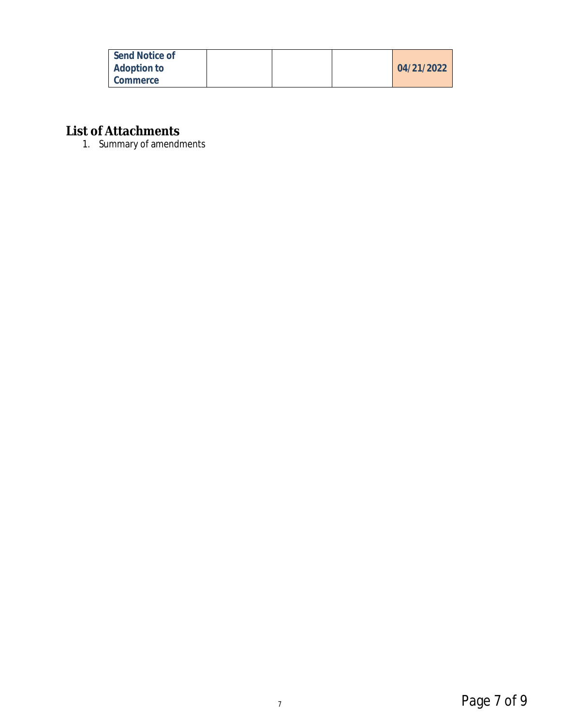| Send Notice of |  |            |
|----------------|--|------------|
| Adoption to    |  | 04/21/2022 |
| Commerce       |  |            |

**List of Attachments**

1. Summary of amendments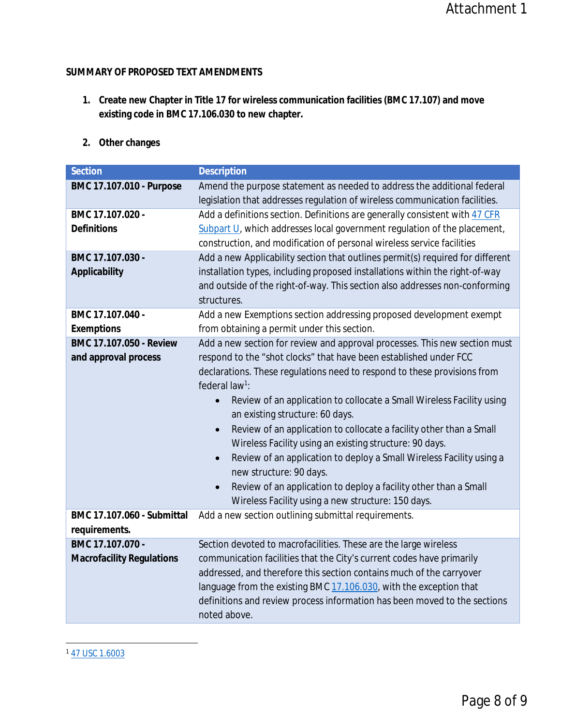#### **SUMMARY OF PROPOSED TEXT AMENDMENTS**

- **1. Create new Chapter in Title 17 for wireless communication facilities (BMC 17.107) and move existing code in BMC 17.106.030 to new chapter.**
- **2. Other changes**

| Section                                     | Description                                                                                                                                            |
|---------------------------------------------|--------------------------------------------------------------------------------------------------------------------------------------------------------|
| BMC 17.107.010 - Purpose                    | Amend the purpose statement as needed to address the additional federal<br>legislation that addresses regulation of wireless communication facilities. |
| BMC 17.107.020 -                            | Add a definitions section. Definitions are generally consistent with 47 CFR                                                                            |
| Definitions                                 | Subpart U, which addresses local government regulation of the placement,<br>construction, and modification of personal wireless service facilities     |
| BMC 17.107.030 -                            | Add a new Applicability section that outlines permit(s) required for different                                                                         |
| Applicability                               | installation types, including proposed installations within the right-of-way                                                                           |
|                                             | and outside of the right-of-way. This section also addresses non-conforming<br>structures.                                                             |
| BMC 17.107.040 -                            | Add a new Exemptions section addressing proposed development exempt                                                                                    |
| Exemptions                                  | from obtaining a permit under this section.                                                                                                            |
| BMC 17.107.050 - Review                     | Add a new section for review and approval processes. This new section must                                                                             |
| and approval process                        | respond to the "shot clocks" that have been established under FCC                                                                                      |
|                                             | declarations. These regulations need to respond to these provisions from                                                                               |
|                                             | federal $law^1$ :                                                                                                                                      |
|                                             | Review of an application to collocate a Small Wireless Facility using<br>$\bullet$<br>an existing structure: 60 days.                                  |
|                                             | Review of an application to collocate a facility other than a Small                                                                                    |
|                                             | Wireless Facility using an existing structure: 90 days.                                                                                                |
|                                             | Review of an application to deploy a Small Wireless Facility using a<br>$\bullet$<br>new structure: 90 days.                                           |
|                                             | Review of an application to deploy a facility other than a Small<br>$\bullet$                                                                          |
|                                             | Wireless Facility using a new structure: 150 days.                                                                                                     |
| BMC 17.107.060 - Submittal<br>requirements. | Add a new section outlining submittal requirements.                                                                                                    |
| BMC 17.107.070 -                            | Section devoted to macrofacilities. These are the large wireless                                                                                       |
| <b>Macrofacility Regulations</b>            | communication facilities that the City's current codes have primarily                                                                                  |
|                                             | addressed, and therefore this section contains much of the carryover                                                                                   |
|                                             | language from the existing BMC 17.106.030, with the exception that                                                                                     |
|                                             | definitions and review process information has been moved to the sections<br>noted above.                                                              |
|                                             |                                                                                                                                                        |

<sup>1</sup> [47 USC 1.6003](https://www.law.cornell.edu/cfr/text/47/1.6003)